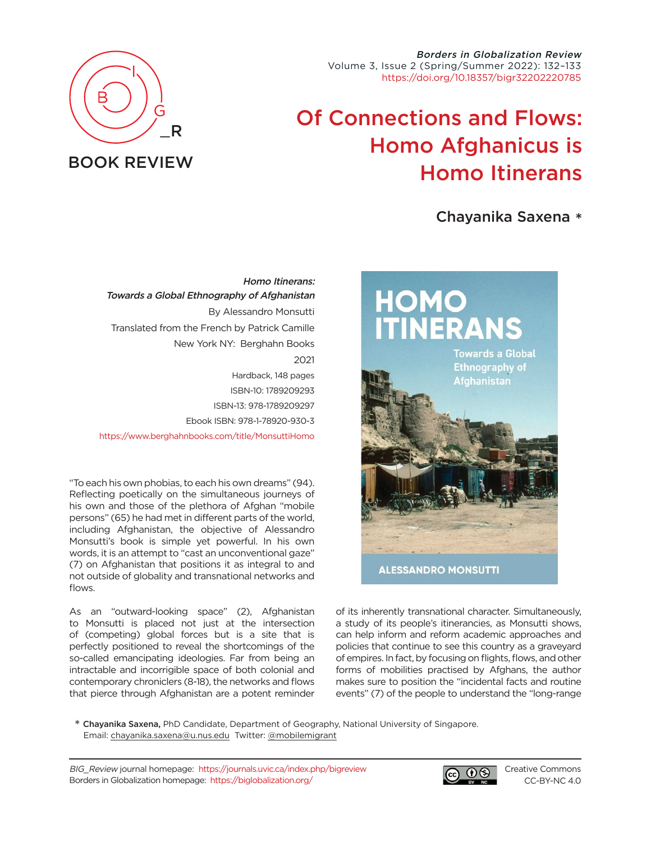Borders in Globalization Review Volume 3, Issue 2 (Spring/Summer 2022): 132–133 [https://doi.org/10.18357/bigr32202220785](https://doi.org/10.18357/bigr32202220785 )

## Of Connections and Flows: Homo Afghanicus is Homo Itinerans

Chayanika Saxena \*



"To each his own phobias, to each his own dreams" (94). Reflecting poetically on the simultaneous journeys of his own and those of the plethora of Afghan "mobile persons" (65) he had met in different parts of the world, including Afghanistan, the objective of Alessandro Monsutti's book is simple yet powerful. In his own words, it is an attempt to "cast an unconventional gaze" (7) on Afghanistan that positions it as integral to and not outside of globality and transnational networks and flows.

As an "outward-looking space" (2), Afghanistan to Monsutti is placed not just at the intersection of (competing) global forces but is a site that is perfectly positioned to reveal the shortcomings of the so-called emancipating ideologies. Far from being an intractable and incorrigible space of both colonial and contemporary chroniclers (8-18), the networks and flows that pierce through Afghanistan are a potent reminder



of its inherently transnational character. Simultaneously, a study of its people's itinerancies, as Monsutti shows, can help inform and reform academic approaches and policies that continue to see this country as a graveyard of empires. In fact, by focusing on flights, flows, and other forms of mobilities practised by Afghans, the author makes sure to position the "incidental facts and routine events" (7) of the people to understand the "long-range

\* Chayanika Saxena, PhD Candidate, Department of Geography, National University of Singapore. Email: [chayanika.saxena@u.nus.edu](mailto:chayanika.saxena%40u.nus.edu?subject=) Twitter: [@mobilemigrant](https://twitter.com/mobilemigrant)

BIG\_Review journal homepage: <https://journals.uvic.ca/index.php/bigreview> Borders in Globalization homepage: <https://biglobalization.org/>



[Creative Commons](https://creativecommons.org/licenses/by-nc/4.0/) [CC-BY-NC 4.0](https://creativecommons.org/licenses/by-nc/4.0/)